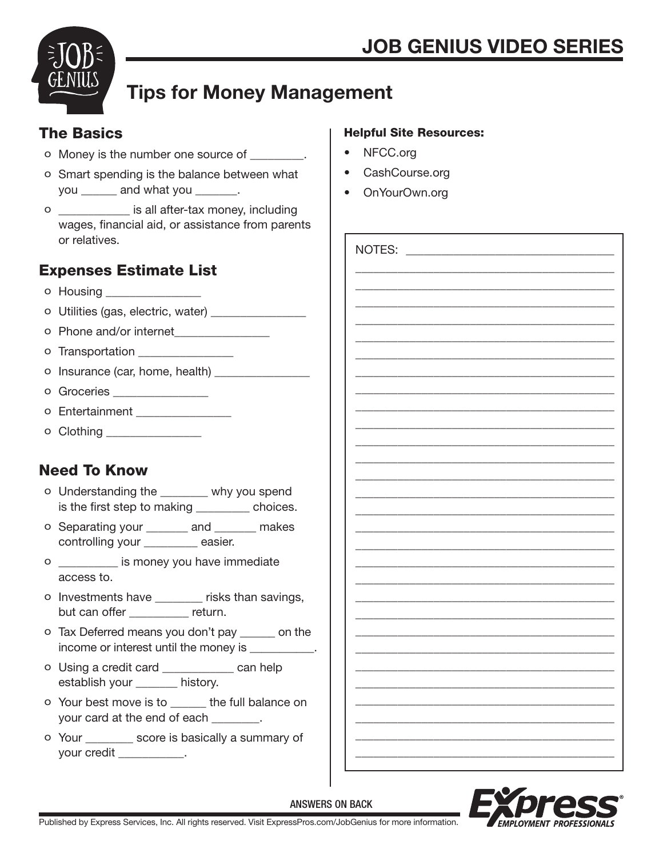

# Tips for Money Management

## The Basics

- o Money is the number one source of \_\_\_\_\_\_\_\_\_.
- o Smart spending is the balance between what you \_\_\_\_\_\_ and what you \_\_\_\_\_\_\_.
- o \_\_\_\_\_\_\_\_\_\_\_\_ is all after-tax money, including wages, financial aid, or assistance from parents or relatives.

# Expenses Estimate List

- o Housing \_\_\_\_\_\_\_\_\_\_\_\_\_\_\_\_
- o Utilities (gas, electric, water) \_\_\_\_\_\_\_\_\_\_\_\_\_\_\_\_
- o Phone and/or internet
- o Transportation
- o Insurance (car, home, health) \_\_\_\_\_\_\_\_\_\_\_\_\_\_\_\_
- o Groceries **and a**
- o Entertainment
- o Clothing \_\_\_\_\_\_\_\_\_\_\_\_\_\_\_\_\_\_

# Need To Know

- o Understanding the \_\_\_\_\_\_\_\_ why you spend is the first step to making \_\_\_\_\_\_\_\_ choices.
- o Separating your \_\_\_\_\_\_\_ and \_\_\_\_\_\_\_ makes controlling your \_\_\_\_\_\_\_\_\_ easier.
- o \_\_\_\_\_\_\_\_\_\_ is money you have immediate access to.
- o Investments have \_\_\_\_\_\_\_\_ risks than savings, but can offer \_\_\_\_\_\_\_\_\_ return.
- o Tax Deferred means you don't pay \_\_\_\_\_\_ on the income or interest until the money is \_\_\_\_\_\_\_\_\_\_\_.
- o Using a credit card \_\_\_\_\_\_\_\_\_\_\_\_ can help establish your \_\_\_\_\_\_\_ history.
- o Your best move is to \_\_\_\_\_\_ the full balance on your card at the end of each \_\_\_\_\_\_\_\_.
- o Your \_\_\_\_\_\_\_\_ score is basically a summary of your credit \_\_\_\_\_\_\_\_\_\_\_.

### Helpful Site Resources:

- NFCC.org
- CashCourse.org
- OnYourOwn.org

| NOTES: |  |
|--------|--|
|        |  |
|        |  |
|        |  |
|        |  |
|        |  |
|        |  |
|        |  |
|        |  |
|        |  |
|        |  |
|        |  |
|        |  |
|        |  |
|        |  |
|        |  |
|        |  |
|        |  |
|        |  |